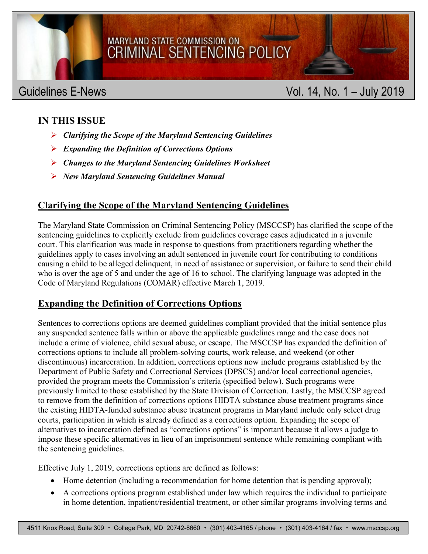

# MARYLAND STATE COMMISSION ON CRIMINAL SENTENCING POLICY

## Guidelines E-News **Vol. 14, No. 1 – July 2019**

#### **IN THIS ISSUE**

- *Clarifying the Scope of the Maryland Sentencing Guidelines*
- *Expanding the Definition of Corrections Options*
- *Changes to the Maryland Sentencing Guidelines Worksheet*
- *New Maryland Sentencing Guidelines Manual*

### **Clarifying the Scope of the Maryland Sentencing Guidelines**

The Maryland State Commission on Criminal Sentencing Policy (MSCCSP) has clarified the scope of the sentencing guidelines to explicitly exclude from guidelines coverage cases adjudicated in a juvenile court. This clarification was made in response to questions from practitioners regarding whether the guidelines apply to cases involving an adult sentenced in juvenile court for contributing to conditions causing a child to be alleged delinquent, in need of assistance or supervision, or failure to send their child who is over the age of 5 and under the age of 16 to school. The clarifying language was adopted in the Code of Maryland Regulations (COMAR) effective March 1, 2019.

#### **Expanding the Definition of Corrections Options**

Sentences to corrections options are deemed guidelines compliant provided that the initial sentence plus any suspended sentence falls within or above the applicable guidelines range and the case does not include a crime of violence, child sexual abuse, or escape. The MSCCSP has expanded the definition of corrections options to include all problem-solving courts, work release, and weekend (or other discontinuous) incarceration. In addition, corrections options now include programs established by the Department of Public Safety and Correctional Services (DPSCS) and/or local correctional agencies, provided the program meets the Commission's criteria (specified below). Such programs were previously limited to those established by the State Division of Correction. Lastly, the MSCCSP agreed to remove from the definition of corrections options HIDTA substance abuse treatment programs since the existing HIDTA-funded substance abuse treatment programs in Maryland include only select drug courts, participation in which is already defined as a corrections option. Expanding the scope of alternatives to incarceration defined as "corrections options" is important because it allows a judge to impose these specific alternatives in lieu of an imprisonment sentence while remaining compliant with the sentencing guidelines.

Effective July 1, 2019, corrections options are defined as follows:

- Home detention (including a recommendation for home detention that is pending approval);
- A corrections options program established under law which requires the individual to participate in home detention, inpatient/residential treatment, or other similar programs involving terms and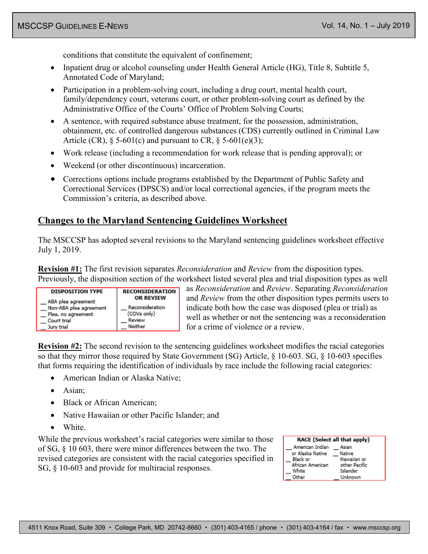conditions that constitute the equivalent of confinement;

- Inpatient drug or alcohol counseling under Health General Article (HG), Title 8, Subtitle 5, Annotated Code of Maryland;
- Participation in a problem-solving court, including a drug court, mental health court, family/dependency court, veterans court, or other problem-solving court as defined by the Administrative Office of the Courts' Office of Problem Solving Courts;
- A sentence, with required substance abuse treatment, for the possession, administration, obtainment, etc. of controlled dangerous substances (CDS) currently outlined in Criminal Law Article (CR),  $\S$  5-601(c) and pursuant to CR,  $\S$  5-601(e)(3);
- Work release (including a recommendation for work release that is pending approval); or
- Weekend (or other discontinuous) incarceration.
- Corrections options include programs established by the Department of Public Safety and Correctional Services (DPSCS) and/or local correctional agencies, if the program meets the Commission's criteria, as described above.

#### **Changes to the Maryland Sentencing Guidelines Worksheet**

The MSCCSP has adopted several revisions to the Maryland sentencing guidelines worksheet effective July 1, 2019.

**Revision #1:** The first revision separates *Reconsideration* and *Review* from the disposition types. Previously, the disposition section of the worksheet listed several plea and trial disposition types as well



as *Reconsideration* and *Review*. Separating *Reconsideration* and *Review* from the other disposition types permits users to indicate both how the case was disposed (plea or trial) as well as whether or not the sentencing was a reconsideration for a crime of violence or a review.

**Revision #2:** The second revision to the sentencing guidelines worksheet modifies the racial categories so that they mirror those required by State Government (SG) Article, § 10-603. SG, § 10-603 specifies that forms requiring the identification of individuals by race include the following racial categories:

- American Indian or Alaska Native;
- Asian;
- Black or African American;
- Native Hawaiian or other Pacific Islander; and
- White.

While the previous worksheet's racial categories were similar to those of SG, § 10 603, there were minor differences between the two. The revised categories are consistent with the racial categories specified in SG, § 10-603 and provide for multiracial responses.

|                  | RACE (Select all that apply) |
|------------------|------------------------------|
| American Indian  | Asian                        |
| or Alaska Native | Native                       |
| Black or         | Hawaiian or                  |
| African American | other Pacific                |
| White            | Islander                     |
| Other            | Unknown                      |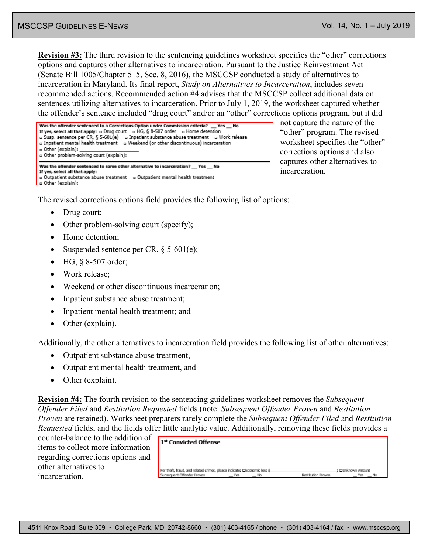No

**Revision #3:** The third revision to the sentencing guidelines worksheet specifies the "other" corrections options and captures other alternatives to incarceration. Pursuant to the Justice Reinvestment Act (Senate Bill 1005/Chapter 515, Sec. 8, 2016), the MSCCSP conducted a study of alternatives to incarceration in Maryland. Its final report, *Study on Alternatives to Incarceration*, includes seven recommended actions. Recommended action #4 advises that the MSCCSP collect additional data on sentences utilizing alternatives to incarceration. Prior to July 1, 2019, the worksheet captured whether the offender's sentence included "drug court" and/or an "other" corrections options program, but it did

| Was the offender sentenced to a Corrections Option under Commission criteria? __ Yes __ No<br>If yes, select all that apply: $\alpha$ Drug court $\alpha$ HG, § 8-507 order $\alpha$ Home detention<br>a Inpatient substance abuse treatment a Work release<br>a Susp. sentence per CR, § 5-601(e)<br>a Inpatient mental health treatment a Weekend (or other discontinuous) incarceration<br>a Other (explain): ______________<br>a Other problem-solving court (explain): |  |  |  |
|-----------------------------------------------------------------------------------------------------------------------------------------------------------------------------------------------------------------------------------------------------------------------------------------------------------------------------------------------------------------------------------------------------------------------------------------------------------------------------|--|--|--|
| Was the offender sentenced to some other alternative to incarceration? Yes No<br>If yes, select all that apply:<br>a Outpatient substance abuse treatment a Outpatient mental health treatment<br>o Other (explain):                                                                                                                                                                                                                                                        |  |  |  |

not capture the nature of the "other" program. The revised worksheet specifies the "other" corrections options and also captures other alternatives to incarceration.

The revised corrections options field provides the following list of options:

- Drug court;
- Other problem-solving court (specify);
- Home detention:
- Suspended sentence per CR, § 5-601(e);
- HG, § 8-507 order;
- Work release:
- Weekend or other discontinuous incarceration:
- Inpatient substance abuse treatment;
- Inpatient mental health treatment; and
- Other (explain).

Additionally, the other alternatives to incarceration field provides the following list of other alternatives:

- Outpatient substance abuse treatment,
- Outpatient mental health treatment, and
- Other (explain).

**Revision #4:** The fourth revision to the sentencing guidelines worksheet removes the *Subsequent Offender Filed* and *Restitution Requested* fields (note: *Subsequent Offender Proven* and *Restitution Proven* are retained). Worksheet preparers rarely complete the *Subsequent Offender Filed* and *Restitution Requested* fields, and the fields offer little analytic value. Additionally, removing these fields provides a

counter-balance to the addition of items to collect more information regarding corrections options and other alternatives to incarceration.

| 1st Convicted Offense                                                     |      |                    |                       |
|---------------------------------------------------------------------------|------|--------------------|-----------------------|
|                                                                           |      |                    |                       |
| For theft, fraud, and related crimes, please indicate: ElEconomic loss \$ |      |                    | <b>OUnknown Amoun</b> |
| Subsequent Offender Proven                                                | Yes. | Restitution Proven | Yes                   |